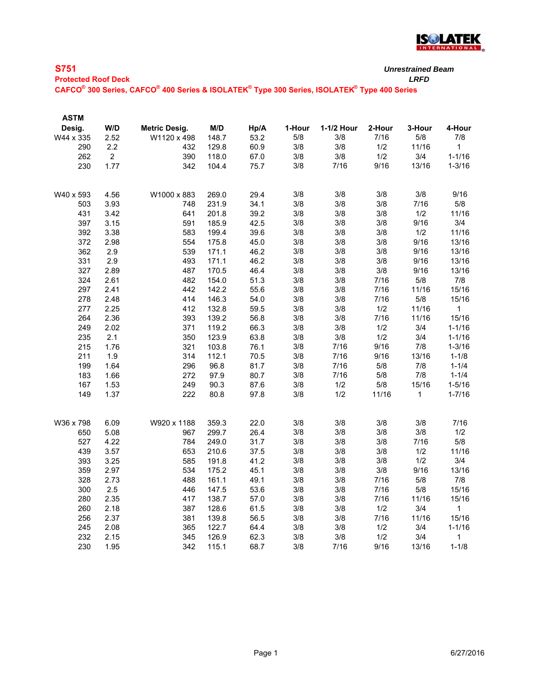

| <b>S751</b>                                                                                                                                 | Unrestrained |
|---------------------------------------------------------------------------------------------------------------------------------------------|--------------|
| <b>Protected Roof Deck</b>                                                                                                                  | LRFD         |
| $\mathsf{CAFCO}^\circ$ 300 Series, $\mathsf{CAFCO}^\circ$ 400 Series & ISOLATEK $^\circ$ Type 300 Series, ISOLATEK $^\circ$ Type 400 Series |              |
|                                                                                                                                             |              |

| <b>ASTM</b> |                |               |       |      |        |            |        |             |              |
|-------------|----------------|---------------|-------|------|--------|------------|--------|-------------|--------------|
| Desig.      | W/D            | Metric Desig. | M/D   | Hp/A | 1-Hour | 1-1/2 Hour | 2-Hour | 3-Hour      | 4-Hour       |
| W44 x 335   | 2.52           | W1120 x 498   | 148.7 | 53.2 | 5/8    | 3/8        | 7/16   | 5/8         | 7/8          |
| 290         | 2.2            | 432           | 129.8 | 60.9 | 3/8    | 3/8        | 1/2    | 11/16       | $\mathbf{1}$ |
| 262         | $\overline{2}$ | 390           | 118.0 | 67.0 | 3/8    | 3/8        | 1/2    | 3/4         | $1 - 1/16$   |
| 230         | 1.77           | 342           | 104.4 | 75.7 | 3/8    | 7/16       | 9/16   | 13/16       | $1 - 3/16$   |
|             |                |               |       |      |        |            |        |             |              |
| W40 x 593   | 4.56           | W1000 x 883   | 269.0 | 29.4 | 3/8    | 3/8        | 3/8    | 3/8         | 9/16         |
| 503         | 3.93           | 748           | 231.9 | 34.1 | 3/8    | 3/8        | 3/8    | 7/16        | $5/8$        |
| 431         | 3.42           | 641           | 201.8 | 39.2 | 3/8    | 3/8        | 3/8    | 1/2         | 11/16        |
| 397         | 3.15           | 591           | 185.9 | 42.5 | 3/8    | 3/8        | 3/8    | 9/16        | 3/4          |
| 392         | 3.38           | 583           | 199.4 | 39.6 | 3/8    | 3/8        | 3/8    | 1/2         | 11/16        |
| 372         | 2.98           | 554           | 175.8 | 45.0 | 3/8    | 3/8        | 3/8    | 9/16        | 13/16        |
| 362         | 2.9            | 539           | 171.1 | 46.2 | 3/8    | 3/8        | 3/8    | 9/16        | 13/16        |
| 331         | 2.9            | 493           | 171.1 | 46.2 | 3/8    | 3/8        | $3/8$  | 9/16        | 13/16        |
| 327         | 2.89           | 487           | 170.5 | 46.4 | 3/8    | 3/8        | 3/8    | 9/16        | 13/16        |
| 324         | 2.61           | 482           | 154.0 | 51.3 | 3/8    | 3/8        | 7/16   | $5/8$       | $7/8$        |
| 297         | 2.41           | 442           | 142.2 | 55.6 | 3/8    | 3/8        | 7/16   | 11/16       | 15/16        |
| 278         | 2.48           | 414           | 146.3 | 54.0 | 3/8    | 3/8        | 7/16   | 5/8         | 15/16        |
| 277         | 2.25           | 412           | 132.8 | 59.5 | 3/8    | 3/8        | 1/2    | 11/16       | $\mathbf{1}$ |
| 264         | 2.36           | 393           | 139.2 | 56.8 | 3/8    | 3/8        | 7/16   | 11/16       | 15/16        |
| 249         | 2.02           | 371           | 119.2 | 66.3 | 3/8    | 3/8        | 1/2    | 3/4         | $1 - 1/16$   |
| 235         | 2.1            | 350           | 123.9 | 63.8 | 3/8    | 3/8        | 1/2    | 3/4         | $1 - 1/16$   |
| 215         | 1.76           | 321           | 103.8 | 76.1 | 3/8    | 7/16       | 9/16   | 7/8         | $1 - 3/16$   |
| 211         | 1.9            | 314           | 112.1 | 70.5 | 3/8    | 7/16       | 9/16   | 13/16       | $1 - 1/8$    |
| 199         | 1.64           | 296           | 96.8  | 81.7 | 3/8    | 7/16       | $5/8$  | 7/8         | $1 - 1/4$    |
| 183         | 1.66           | 272           | 97.9  | 80.7 | 3/8    | 7/16       | 5/8    | 7/8         | $1 - 1/4$    |
| 167         | 1.53           | 249           | 90.3  | 87.6 | 3/8    | 1/2        | 5/8    | 15/16       | $1 - 5/16$   |
| 149         | 1.37           | 222           | 80.8  | 97.8 | 3/8    | 1/2        | 11/16  | $\mathbf 1$ | $1 - 7/16$   |
|             |                |               |       |      |        |            |        |             |              |
| W36 x 798   | 6.09           | W920 x 1188   | 359.3 | 22.0 | 3/8    | 3/8        | 3/8    | 3/8         | 7/16         |
| 650         | 5.08           | 967           | 299.7 | 26.4 | 3/8    | 3/8        | 3/8    | 3/8         | 1/2          |
| 527         | 4.22           | 784           | 249.0 | 31.7 | 3/8    | 3/8        | 3/8    | 7/16        | $5/8$        |
| 439         | 3.57           | 653           | 210.6 | 37.5 | 3/8    | 3/8        | 3/8    | 1/2         | 11/16        |
| 393         | 3.25           | 585           | 191.8 | 41.2 | 3/8    | 3/8        | 3/8    | 1/2         | 3/4          |
| 359         | 2.97           | 534           | 175.2 | 45.1 | 3/8    | 3/8        | 3/8    | 9/16        | 13/16        |
| 328         | 2.73           | 488           | 161.1 | 49.1 | 3/8    | 3/8        | 7/16   | 5/8         | 7/8          |
| 300         | 2.5            | 446           | 147.5 | 53.6 | 3/8    | 3/8        | 7/16   | 5/8         | 15/16        |
| 280         | 2.35           | 417           | 138.7 | 57.0 | 3/8    | 3/8        | 7/16   | 11/16       | 15/16        |
| 260         | 2.18           | 387           | 128.6 | 61.5 | 3/8    | 3/8        | 1/2    | 3/4         | $\mathbf{1}$ |
| 256         | 2.37           | 381           | 139.8 | 56.5 | 3/8    | 3/8        | 7/16   | 11/16       | 15/16        |
| 245         | 2.08           | 365           | 122.7 | 64.4 | 3/8    | 3/8        | 1/2    | 3/4         | $1 - 1/16$   |
| 232         | 2.15           | 345           | 126.9 | 62.3 | 3/8    | 3/8        | 1/2    | 3/4         | 1            |
| 230         | 1.95           | 342           | 115.1 | 68.7 | 3/8    | 7/16       | 9/16   | 13/16       | $1 - 1/8$    |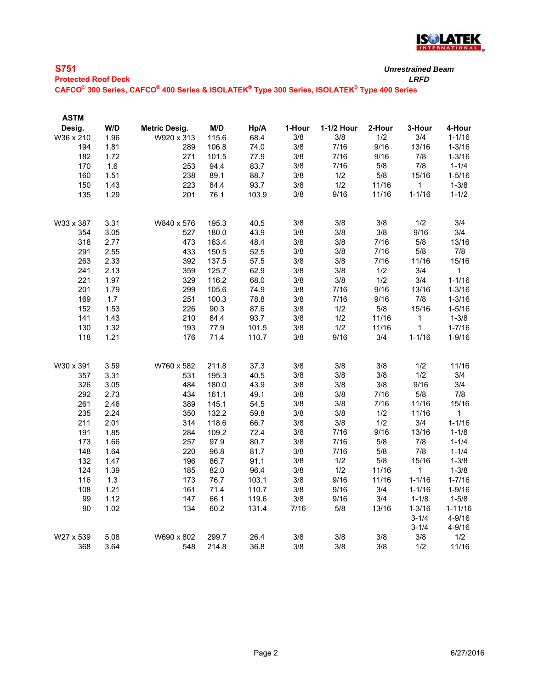

| <b>S751</b><br><b>Protected Roof Deck</b> |            |              |     |             |  | <b>Unrestrained Beam</b><br>LRFD |  |        |              |  |
|-------------------------------------------|------------|--------------|-----|-------------|--|----------------------------------|--|--------|--------------|--|
|                                           |            |              |     |             |  |                                  |  |        |              |  |
| <b>ASTM</b><br><b>Dasin</b>               | <b>W/D</b> | Matric Dasin | M/D | $Hn/\Delta$ |  | 1. Hour $1.1/2$ Hour $2.$ Hour   |  | 3-Hour | $4-H$ $OIII$ |  |

| Desig.    | VU   | metric Desig. | ש וויו | прин  | 1-nour | 1-1/4 nour | ∠-⊓our | <b>S-LONL</b> | 4-nour      |
|-----------|------|---------------|--------|-------|--------|------------|--------|---------------|-------------|
| W36 x 210 | 1.96 | W920 x 313    | 115.6  | 68.4  | 3/8    | 3/8        | 1/2    | 3/4           | $1 - 1/16$  |
| 194       | 1.81 | 289           | 106.8  | 74.0  | 3/8    | 7/16       | 9/16   | 13/16         | $1 - 3/16$  |
| 182       | 1.72 | 271           | 101.5  | 77.9  | 3/8    | 7/16       | 9/16   | $7/8$         | $1 - 3/16$  |
| 170       | 1.6  | 253           | 94.4   | 83.7  | 3/8    | 7/16       | 5/8    | 7/8           | $1 - 1/4$   |
| 160       | 1.51 | 238           | 89.1   | 88.7  | 3/8    | 1/2        | 5/8    | 15/16         | $1 - 5/16$  |
| 150       | 1.43 | 223           | 84.4   | 93.7  | 3/8    | 1/2        | 11/16  | $\mathbf{1}$  | $1 - 3/8$   |
| 135       | 1.29 | 201           | 76.1   | 103.9 | 3/8    | 9/16       | 11/16  | $1 - 1/16$    | $1 - 1/2$   |
|           |      |               |        |       |        |            |        |               |             |
| W33 x 387 | 3.31 | W840 x 576    | 195.3  | 40.5  | 3/8    | 3/8        | 3/8    | 1/2           | 3/4         |
| 354       | 3.05 | 527           | 180.0  | 43.9  | 3/8    | 3/8        | 3/8    | 9/16          | 3/4         |
| 318       | 2.77 | 473           | 163.4  | 48.4  | 3/8    | 3/8        | 7/16   | 5/8           | 13/16       |
| 291       | 2.55 | 433           | 150.5  | 52.5  | 3/8    | 3/8        | 7/16   | $5/8$         | 7/8         |
| 263       | 2.33 | 392           | 137.5  | 57.5  | 3/8    | 3/8        | 7/16   | 11/16         | 15/16       |
| 241       | 2.13 | 359           | 125.7  | 62.9  | 3/8    | $3/8$      | 1/2    | 3/4           | $\mathbf 1$ |
| 221       | 1.97 | 329           | 116.2  | 68.0  | 3/8    | 3/8        | 1/2    | 3/4           | $1 - 1/16$  |
| 201       | 1.79 | 299           | 105.6  | 74.9  | 3/8    | 7/16       | 9/16   | 13/16         | $1 - 3/16$  |
| 169       | 1.7  | 251           | 100.3  | 78.8  | 3/8    | 7/16       | 9/16   | 7/8           | $1 - 3/16$  |
| 152       | 1.53 | 226           | 90.3   | 87.6  | 3/8    | 1/2        | 5/8    | 15/16         | $1 - 5/16$  |
| 141       | 1.43 | 210           | 84.4   | 93.7  | 3/8    | 1/2        | 11/16  | $\mathbf{1}$  | $1 - 3/8$   |
| 130       | 1.32 | 193           | 77.9   | 101.5 | 3/8    | 1/2        | 11/16  | $\mathbf{1}$  | $1 - 7/16$  |
| 118       | 1.21 | 176           | 71.4   | 110.7 | 3/8    | 9/16       | 3/4    | $1 - 1/16$    | $1 - 9/16$  |
|           |      |               |        |       |        |            |        |               |             |
| W30 x 391 | 3.59 | W760 x 582    | 211.8  | 37.3  | 3/8    | 3/8        | 3/8    | 1/2           | 11/16       |
| 357       | 3.31 | 531           | 195.3  | 40.5  | 3/8    | 3/8        | 3/8    | 1/2           | 3/4         |
| 326       | 3.05 | 484           | 180.0  | 43.9  | 3/8    | 3/8        | $3/8$  | 9/16          | 3/4         |
| 292       | 2.73 | 434           | 161.1  | 49.1  | 3/8    | $3/8$      | 7/16   | $5/8$         | $7/8$       |
| 261       | 2.46 | 389           | 145.1  | 54.5  | 3/8    | 3/8        | 7/16   | 11/16         | 15/16       |
| 235       | 2.24 | 350           | 132.2  | 59.8  | 3/8    | 3/8        | 1/2    | 11/16         | 1           |
| 211       | 2.01 | 314           | 118.6  | 66.7  | 3/8    | 3/8        | 1/2    | 3/4           | $1 - 1/16$  |
| 191       | 1.85 | 284           | 109.2  | 72.4  | 3/8    | 7/16       | 9/16   | 13/16         | $1 - 1/8$   |
| 173       | 1.66 | 257           | 97.9   | 80.7  | 3/8    | 7/16       | $5/8$  | 7/8           | $1 - 1/4$   |
| 148       | 1.64 | 220           | 96.8   | 81.7  | 3/8    | 7/16       | $5/8$  | 7/8           | $1 - 1/4$   |
| 132       | 1.47 | 196           | 86.7   | 91.1  | 3/8    | 1/2        | $5/8$  | 15/16         | $1 - 3/8$   |
| 124       | 1.39 | 185           | 82.0   | 96.4  | 3/8    | 1/2        | 11/16  | $\mathbf{1}$  | $1 - 3/8$   |
| 116       | 1.3  | 173           | 76.7   | 103.1 | 3/8    | 9/16       | 11/16  | $1 - 1/16$    | $1 - 7/16$  |
| 108       | 1.21 | 161           | 71.4   | 110.7 | 3/8    | 9/16       | 3/4    | $1 - 1/16$    | $1 - 9/16$  |
| 99        | 1.12 | 147           | 66.1   | 119.6 | 3/8    | 9/16       | 3/4    | $1 - 1/8$     | $1 - 5/8$   |
| $90\,$    | 1.02 | 134           | 60.2   | 131.4 | 7/16   | $5/8$      | 13/16  | $1 - 3/16$    | $1 - 11/16$ |
|           |      |               |        |       |        |            |        | $3 - 1/4$     | $4 - 9/16$  |
|           |      |               |        |       |        |            |        | $3 - 1/4$     | $4 - 9/16$  |
| W27 x 539 | 5.08 | W690 x 802    | 299.7  | 26.4  | 3/8    | 3/8        | 3/8    | 3/8           | 1/2         |
| 368       | 3.64 | 548           | 214.8  | 36.8  | 3/8    | 3/8        | 3/8    | 1/2           | 11/16       |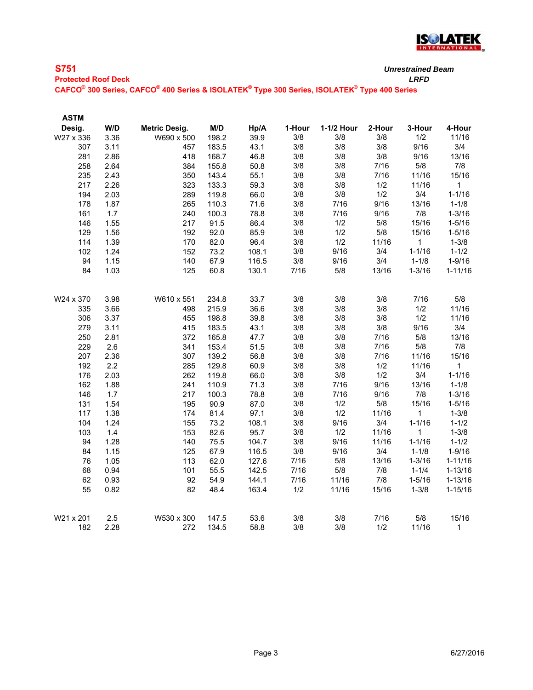

| <b>S751</b>                                                                                 | <b>Unrestrained Beam</b> |
|---------------------------------------------------------------------------------------------|--------------------------|
| <b>Protected Roof Deck</b>                                                                  | I RFD                    |
| CAFCO® 300 Series, CAFCO® 400 Series & ISOLATEK® Type 300 Series, ISOLATEK® Type 400 Series |                          |
|                                                                                             |                          |

**ASTM** 

| Desig.    | W/D  | <b>Metric Desig.</b> | M/D   | Hp/A  | 1-Hour | 1-1/2 Hour | 2-Hour | 3-Hour       | 4-Hour       |
|-----------|------|----------------------|-------|-------|--------|------------|--------|--------------|--------------|
| W27 x 336 | 3.36 | W690 x 500           | 198.2 | 39.9  | 3/8    | 3/8        | 3/8    | 1/2          | 11/16        |
| 307       | 3.11 | 457                  | 183.5 | 43.1  | 3/8    | 3/8        | 3/8    | 9/16         | 3/4          |
| 281       | 2.86 | 418                  | 168.7 | 46.8  | 3/8    | 3/8        | 3/8    | 9/16         | 13/16        |
| 258       | 2.64 | 384                  | 155.8 | 50.8  | 3/8    | 3/8        | 7/16   | 5/8          | 7/8          |
| 235       | 2.43 | 350                  | 143.4 | 55.1  | 3/8    | 3/8        | 7/16   | 11/16        | 15/16        |
| 217       | 2.26 | 323                  | 133.3 | 59.3  | 3/8    | 3/8        | 1/2    | 11/16        | $\mathbf{1}$ |
| 194       | 2.03 | 289                  | 119.8 | 66.0  | 3/8    | 3/8        | 1/2    | 3/4          | $1 - 1/16$   |
| 178       | 1.87 | 265                  | 110.3 | 71.6  | 3/8    | 7/16       | 9/16   | 13/16        | $1 - 1/8$    |
| 161       | 1.7  | 240                  | 100.3 | 78.8  | 3/8    | 7/16       | 9/16   | $7/8$        | $1 - 3/16$   |
| 146       | 1.55 | 217                  | 91.5  | 86.4  | 3/8    | 1/2        | 5/8    | 15/16        | $1 - 5/16$   |
| 129       | 1.56 | 192                  | 92.0  | 85.9  | 3/8    | 1/2        | 5/8    | 15/16        | $1 - 5/16$   |
| 114       | 1.39 | 170                  | 82.0  | 96.4  | 3/8    | 1/2        | 11/16  | $\mathbf{1}$ | $1 - 3/8$    |
| 102       | 1.24 | 152                  | 73.2  | 108.1 | 3/8    | 9/16       | 3/4    | $1 - 1/16$   | $1 - 1/2$    |
| 94        | 1.15 | 140                  | 67.9  | 116.5 | 3/8    | 9/16       | 3/4    | $1 - 1/8$    | $1 - 9/16$   |
| 84        | 1.03 | 125                  | 60.8  | 130.1 | 7/16   | 5/8        | 13/16  | $1 - 3/16$   | $1 - 11/16$  |
| W24 x 370 | 3.98 | W610 x 551           | 234.8 | 33.7  | 3/8    | 3/8        | 3/8    | 7/16         | 5/8          |
| 335       | 3.66 | 498                  | 215.9 | 36.6  | 3/8    | 3/8        | 3/8    | 1/2          | 11/16        |
| 306       | 3.37 | 455                  | 198.8 | 39.8  | 3/8    | 3/8        | 3/8    | 1/2          | 11/16        |
| 279       | 3.11 | 415                  | 183.5 | 43.1  | 3/8    | 3/8        | 3/8    | 9/16         | 3/4          |
| 250       | 2.81 | 372                  | 165.8 | 47.7  | 3/8    | 3/8        | 7/16   | $5/8$        | 13/16        |
| 229       | 2.6  | 341                  | 153.4 | 51.5  | 3/8    | 3/8        | 7/16   | $5/8$        | 7/8          |
| 207       | 2.36 | 307                  | 139.2 | 56.8  | 3/8    | 3/8        | 7/16   | 11/16        | 15/16        |
| 192       | 2.2  | 285                  | 129.8 | 60.9  | 3/8    | 3/8        | 1/2    | 11/16        | $\mathbf{1}$ |
| 176       | 2.03 | 262                  | 119.8 | 66.0  | 3/8    | 3/8        | 1/2    | 3/4          | $1 - 1/16$   |
| 162       | 1.88 | 241                  | 110.9 | 71.3  | 3/8    | 7/16       | 9/16   | 13/16        | $1 - 1/8$    |
| 146       | 1.7  | 217                  | 100.3 | 78.8  | 3/8    | 7/16       | 9/16   | 7/8          | $1 - 3/16$   |
| 131       | 1.54 | 195                  | 90.9  | 87.0  | 3/8    | 1/2        | 5/8    | 15/16        | $1 - 5/16$   |
| 117       | 1.38 | 174                  | 81.4  | 97.1  | 3/8    | 1/2        | 11/16  | $\mathbf{1}$ | $1 - 3/8$    |
| 104       | 1.24 | 155                  | 73.2  | 108.1 | 3/8    | 9/16       | 3/4    | $1 - 1/16$   | $1 - 1/2$    |
| 103       | 1.4  | 153                  | 82.6  | 95.7  | 3/8    | 1/2        | 11/16  | 1            | $1 - 3/8$    |
| 94        | 1.28 | 140                  | 75.5  | 104.7 | 3/8    | 9/16       | 11/16  | $1 - 1/16$   | $1 - 1/2$    |
| 84        | 1.15 | 125                  | 67.9  | 116.5 | 3/8    | 9/16       | 3/4    | $1 - 1/8$    | $1 - 9/16$   |
| 76        | 1.05 | 113                  | 62.0  | 127.6 | 7/16   | 5/8        | 13/16  | $1 - 3/16$   | $1 - 11/16$  |
| 68        | 0.94 | 101                  | 55.5  | 142.5 | 7/16   | 5/8        | 7/8    | $1 - 1/4$    | $1 - 13/16$  |
| 62        | 0.93 | 92                   | 54.9  | 144.1 | 7/16   | 11/16      | $7/8$  | $1 - 5/16$   | $1 - 13/16$  |
| 55        | 0.82 | 82                   | 48.4  | 163.4 | 1/2    | 11/16      | 15/16  | $1 - 3/8$    | $1 - 15/16$  |
| W21 x 201 | 2.5  | W530 x 300           | 147.5 | 53.6  | 3/8    | 3/8        | 7/16   | $5/8$        | 15/16        |
| 182       | 2.28 | 272                  | 134.5 | 58.8  | 3/8    | 3/8        | 1/2    | 11/16        | $\mathbf{1}$ |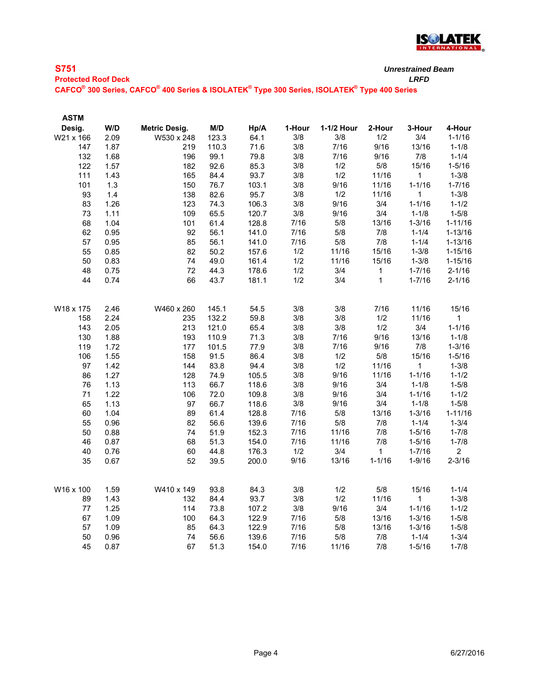

| <b>S751</b>                |  |
|----------------------------|--|
| <b>Destanted Dans Dank</b> |  |

**Protected Roof Deck** *LRFD* **CAFCO® 300 Series, CAFCO® 400 Series & ISOLATEK® Type 300 Series, ISOLATEK® Type 400 Series**

| <b>ASTM</b> |      |               |       |       |        |            |              |              |                |
|-------------|------|---------------|-------|-------|--------|------------|--------------|--------------|----------------|
| Desig.      | W/D  | Metric Desig. | M/D   | Hp/A  | 1-Hour | 1-1/2 Hour | 2-Hour       | 3-Hour       | 4-Hour         |
| W21 x 166   | 2.09 | W530 x 248    | 123.3 | 64.1  | 3/8    | 3/8        | 1/2          | 3/4          | $1 - 1/16$     |
| 147         | 1.87 | 219           | 110.3 | 71.6  | 3/8    | 7/16       | 9/16         | 13/16        | $1 - 1/8$      |
| 132         | 1.68 | 196           | 99.1  | 79.8  | 3/8    | 7/16       | 9/16         | 7/8          | $1 - 1/4$      |
| 122         | 1.57 | 182           | 92.6  | 85.3  | 3/8    | 1/2        | $5/8$        | 15/16        | $1 - 5/16$     |
| 111         | 1.43 | 165           | 84.4  | 93.7  | 3/8    | 1/2        | 11/16        | $\mathbf{1}$ | $1 - 3/8$      |
| 101         | 1.3  | 150           | 76.7  | 103.1 | 3/8    | 9/16       | 11/16        | $1 - 1/16$   | $1 - 7/16$     |
| 93          | 1.4  | 138           | 82.6  | 95.7  | 3/8    | 1/2        | 11/16        | 1            | $1 - 3/8$      |
| 83          | 1.26 | 123           | 74.3  | 106.3 | 3/8    | 9/16       | 3/4          | $1 - 1/16$   | $1 - 1/2$      |
| 73          | 1.11 | 109           | 65.5  | 120.7 | 3/8    | 9/16       | 3/4          | $1 - 1/8$    | $1 - 5/8$      |
| 68          | 1.04 | 101           | 61.4  | 128.8 | 7/16   | $5/8$      | 13/16        | $1 - 3/16$   | $1 - 11/16$    |
| 62          | 0.95 | 92            | 56.1  | 141.0 | 7/16   | 5/8        | 7/8          | $1 - 1/4$    | $1 - 13/16$    |
| 57          | 0.95 | 85            | 56.1  | 141.0 | 7/16   | $5/8$      | $7/8$        | $1 - 1/4$    | $1 - 13/16$    |
| 55          | 0.85 | 82            | 50.2  | 157.6 | 1/2    | 11/16      | 15/16        | $1 - 3/8$    | $1 - 15/16$    |
| 50          | 0.83 | 74            | 49.0  | 161.4 | 1/2    | 11/16      | 15/16        | $1 - 3/8$    | $1 - 15/16$    |
| 48          | 0.75 | 72            | 44.3  | 178.6 | 1/2    | 3/4        | 1            | $1 - 7/16$   | $2 - 1/16$     |
| 44          | 0.74 | 66            | 43.7  | 181.1 | 1/2    | 3/4        | $\mathbf{1}$ | $1 - 7/16$   | $2 - 1/16$     |
| W18 x 175   | 2.46 | W460 x 260    | 145.1 | 54.5  | 3/8    | 3/8        | 7/16         | 11/16        | 15/16          |
| 158         | 2.24 | 235           | 132.2 | 59.8  | 3/8    | 3/8        | 1/2          | 11/16        | 1              |
| 143         | 2.05 | 213           | 121.0 | 65.4  | 3/8    | 3/8        | 1/2          | 3/4          | $1 - 1/16$     |
| 130         | 1.88 | 193           | 110.9 | 71.3  | 3/8    | 7/16       | 9/16         | 13/16        | $1 - 1/8$      |
| 119         | 1.72 | 177           | 101.5 | 77.9  | 3/8    | 7/16       | 9/16         | 7/8          | $1 - 3/16$     |
| 106         | 1.55 | 158           | 91.5  | 86.4  | 3/8    | 1/2        | 5/8          | 15/16        | $1 - 5/16$     |
| 97          | 1.42 | 144           | 83.8  | 94.4  | 3/8    | 1/2        | 11/16        | $\mathbf 1$  | $1 - 3/8$      |
| 86          | 1.27 | 128           | 74.9  | 105.5 | 3/8    | 9/16       | 11/16        | $1 - 1/16$   | $1 - 1/2$      |
| 76          | 1.13 | 113           | 66.7  | 118.6 | 3/8    | 9/16       | 3/4          | $1 - 1/8$    | $1 - 5/8$      |
| 71          | 1.22 | 106           | 72.0  | 109.8 | 3/8    | 9/16       | 3/4          | $1 - 1/16$   | $1 - 1/2$      |
| 65          | 1.13 | 97            | 66.7  | 118.6 | 3/8    | 9/16       | 3/4          | $1 - 1/8$    | $1 - 5/8$      |
| 60          | 1.04 | 89            | 61.4  | 128.8 | 7/16   | $5/8$      | 13/16        | $1 - 3/16$   | $1 - 11/16$    |
| 55          | 0.96 | 82            | 56.6  | 139.6 | $7/16$ | 5/8        | $7/8$        | $1 - 1/4$    | $1 - 3/4$      |
| 50          | 0.88 | 74            | 51.9  | 152.3 | 7/16   | 11/16      | 7/8          | $1 - 5/16$   | $1 - 7/8$      |
| 46          | 0.87 | 68            | 51.3  | 154.0 | 7/16   | 11/16      | 7/8          | $1 - 5/16$   | $1 - 7/8$      |
| 40          | 0.76 | 60            | 44.8  | 176.3 | 1/2    | 3/4        | $\mathbf{1}$ | $1 - 7/16$   | $\overline{2}$ |
| 35          | 0.67 | 52            | 39.5  | 200.0 | 9/16   | 13/16      | $1 - 1/16$   | $1 - 9/16$   | $2 - 3/16$     |
|             |      |               |       |       |        |            |              |              |                |
| W16 x 100   | 1.59 | W410 x 149    | 93.8  | 84.3  | 3/8    | 1/2        | 5/8          | 15/16        | $1 - 1/4$      |
| 89          | 1.43 | 132           | 84.4  | 93.7  | 3/8    | 1/2        | 11/16        | $\mathbf{1}$ | $1 - 3/8$      |
| 77          | 1.25 | 114           | 73.8  | 107.2 | 3/8    | 9/16       | 3/4          | $1 - 1/16$   | $1 - 1/2$      |
| 67          | 1.09 | 100           | 64.3  | 122.9 | 7/16   | $5/8$      | 13/16        | $1 - 3/16$   | $1 - 5/8$      |
| 57          | 1.09 | 85            | 64.3  | 122.9 | 7/16   | $5/8$      | 13/16        | $1 - 3/16$   | $1 - 5/8$      |
| 50          | 0.96 | 74            | 56.6  | 139.6 | 7/16   | $5/8$      | 7/8          | $1 - 1/4$    | $1 - 3/4$      |
| 45          | 0.87 | 67            | 51.3  | 154.0 | 7/16   | 11/16      | 7/8          | $1 - 5/16$   | $1 - 7/8$      |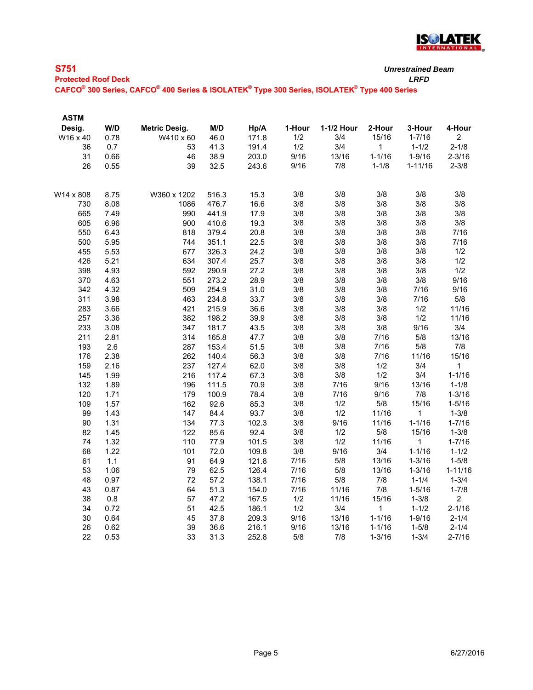

| ×<br>w |        |  |
|--------|--------|--|
| $\sim$ | $\sim$ |  |

**Protected Roof Deck** *LRFD* **CAFCO® 300 Series, CAFCO® 400 Series & ISOLATEK® Type 300 Series, ISOLATEK® Type 400 Series**

| <b>ASTM</b> |      |               |       |       |        |            |              |             |                |
|-------------|------|---------------|-------|-------|--------|------------|--------------|-------------|----------------|
| Desig.      | W/D  | Metric Desig. | M/D   | Hp/A  | 1-Hour | 1-1/2 Hour | 2-Hour       | 3-Hour      | 4-Hour         |
| W16 x 40    | 0.78 | W410 x 60     | 46.0  | 171.8 | 1/2    | 3/4        | 15/16        | $1 - 7/16$  | $\overline{c}$ |
| 36          | 0.7  | 53            | 41.3  | 191.4 | 1/2    | 3/4        | 1            | $1 - 1/2$   | $2 - 1/8$      |
| 31          | 0.66 | 46            | 38.9  | 203.0 | 9/16   | 13/16      | $1 - 1/16$   | $1 - 9/16$  | $2 - 3/16$     |
| 26          | 0.55 | 39            | 32.5  | 243.6 | 9/16   | 7/8        | $1 - 1/8$    | $1 - 11/16$ | $2 - 3/8$      |
|             |      |               |       |       |        |            |              |             |                |
| W14 x 808   | 8.75 | W360 x 1202   | 516.3 | 15.3  | 3/8    | 3/8        | 3/8          | 3/8         | 3/8            |
| 730         | 8.08 | 1086          | 476.7 | 16.6  | 3/8    | 3/8        | 3/8          | 3/8         | 3/8            |
| 665         | 7.49 | 990           | 441.9 | 17.9  | 3/8    | 3/8        | 3/8          | 3/8         | 3/8            |
| 605         | 6.96 | 900           | 410.6 | 19.3  | 3/8    | 3/8        | 3/8          | 3/8         | 3/8            |
| 550         | 6.43 | 818           | 379.4 | 20.8  | 3/8    | 3/8        | 3/8          | 3/8         | 7/16           |
| 500         | 5.95 | 744           | 351.1 | 22.5  | 3/8    | 3/8        | 3/8          | 3/8         | 7/16           |
| 455         | 5.53 | 677           | 326.3 | 24.2  | 3/8    | 3/8        | 3/8          | 3/8         | 1/2            |
| 426         | 5.21 | 634           | 307.4 | 25.7  | 3/8    | 3/8        | 3/8          | 3/8         | 1/2            |
| 398         | 4.93 | 592           | 290.9 | 27.2  | 3/8    | 3/8        | 3/8          | 3/8         | 1/2            |
| 370         | 4.63 | 551           | 273.2 | 28.9  | 3/8    | 3/8        | 3/8          | 3/8         | 9/16           |
| 342         | 4.32 | 509           | 254.9 | 31.0  | 3/8    | 3/8        | 3/8          | 7/16        | 9/16           |
| 311         | 3.98 | 463           | 234.8 | 33.7  | 3/8    | 3/8        | 3/8          | 7/16        | 5/8            |
| 283         | 3.66 | 421           | 215.9 | 36.6  | 3/8    | 3/8        | 3/8          | 1/2         | 11/16          |
| 257         | 3.36 | 382           | 198.2 | 39.9  | 3/8    | 3/8        | 3/8          | 1/2         | 11/16          |
| 233         | 3.08 | 347           | 181.7 | 43.5  | 3/8    | 3/8        | 3/8          | 9/16        | 3/4            |
| 211         | 2.81 | 314           | 165.8 | 47.7  | 3/8    | 3/8        | 7/16         | $5/8$       | 13/16          |
| 193         | 2.6  | 287           | 153.4 | 51.5  | 3/8    | 3/8        | 7/16         | 5/8         | 7/8            |
| 176         | 2.38 | 262           | 140.4 | 56.3  | 3/8    | 3/8        | 7/16         | 11/16       | 15/16          |
| 159         | 2.16 | 237           | 127.4 | 62.0  | 3/8    | 3/8        | 1/2          | 3/4         | 1              |
| 145         | 1.99 | 216           | 117.4 | 67.3  | 3/8    | 3/8        | 1/2          | 3/4         | $1 - 1/16$     |
| 132         | 1.89 | 196           | 111.5 | 70.9  | 3/8    | 7/16       | 9/16         | 13/16       | $1 - 1/8$      |
| 120         | 1.71 | 179           | 100.9 | 78.4  | 3/8    | 7/16       | 9/16         | $7/8$       | $1 - 3/16$     |
| 109         | 1.57 | 162           | 92.6  | 85.3  | 3/8    | $1/2$      | 5/8          | 15/16       | $1 - 5/16$     |
| 99          | 1.43 | 147           | 84.4  | 93.7  | 3/8    | 1/2        | 11/16        | $\mathbf 1$ | $1 - 3/8$      |
| 90          | 1.31 | 134           | 77.3  | 102.3 | 3/8    | 9/16       | 11/16        | $1 - 1/16$  | $1 - 7/16$     |
| 82          | 1.45 | 122           | 85.6  | 92.4  | 3/8    | 1/2        | $5/8$        | 15/16       | $1 - 3/8$      |
| 74          | 1.32 | 110           | 77.9  | 101.5 | 3/8    | 1/2        | 11/16        | 1           | $1 - 7/16$     |
| 68          | 1.22 | 101           | 72.0  | 109.8 | 3/8    | 9/16       | 3/4          | $1 - 1/16$  | $1 - 1/2$      |
| 61          | 1.1  | 91            | 64.9  | 121.8 | 7/16   | 5/8        | 13/16        | $1 - 3/16$  | $1 - 5/8$      |
| 53          | 1.06 | 79            | 62.5  | 126.4 | 7/16   | 5/8        | 13/16        | $1 - 3/16$  | $1 - 11/16$    |
| 48          | 0.97 | 72            | 57.2  | 138.1 | 7/16   | 5/8        | 7/8          | $1 - 1/4$   | $1 - 3/4$      |
| 43          | 0.87 | 64            | 51.3  | 154.0 | 7/16   | 11/16      | 7/8          | $1 - 5/16$  | $1 - 7/8$      |
| 38          | 0.8  | 57            | 47.2  | 167.5 | 1/2    | 11/16      | 15/16        | $1 - 3/8$   | $\overline{c}$ |
| 34          | 0.72 | 51            | 42.5  | 186.1 | 1/2    | 3/4        | $\mathbf{1}$ | $1 - 1/2$   | $2 - 1/16$     |
| 30          | 0.64 | 45            | 37.8  | 209.3 | 9/16   | 13/16      | $1 - 1/16$   | $1 - 9/16$  | $2 - 1/4$      |
| 26          | 0.62 | 39            | 36.6  | 216.1 | 9/16   | 13/16      | $1 - 1/16$   | $1 - 5/8$   | $2 - 1/4$      |
| 22          | 0.53 | 33            | 31.3  | 252.8 | 5/8    | 7/8        | $1 - 3/16$   | $1 - 3/4$   | $2 - 7/16$     |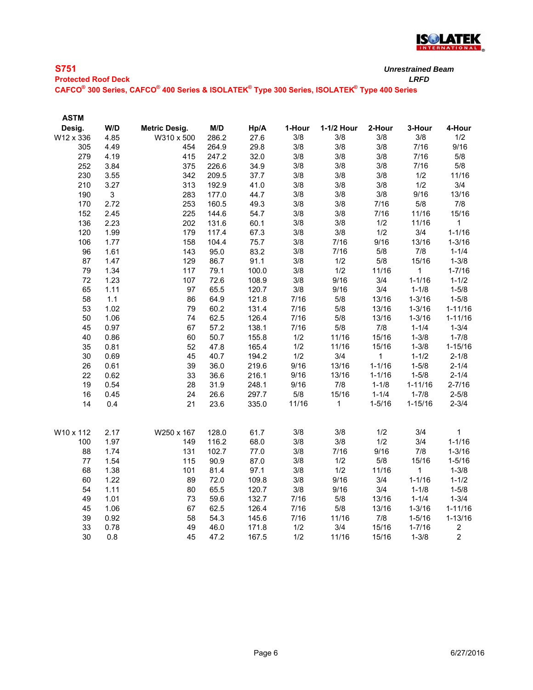

| <b>S751</b>                | Unrestrained |
|----------------------------|--------------|
| <b>Protected Roof Deck</b> | LRFD         |

**CAFCO® 300 Series, CAFCO® 400 Series & ISOLATEK® Type 300 Series, ISOLATEK® Type 400 Series**

| <b>ASTM</b> |      |                      |       |       |        |              |              |              |                |
|-------------|------|----------------------|-------|-------|--------|--------------|--------------|--------------|----------------|
| Desig.      | W/D  | <b>Metric Desig.</b> | M/D   | Hp/A  | 1-Hour | 1-1/2 Hour   | 2-Hour       | 3-Hour       | 4-Hour         |
| W12 x 336   | 4.85 | W310 x 500           | 286.2 | 27.6  | 3/8    | 3/8          | 3/8          | 3/8          | 1/2            |
| 305         | 4.49 | 454                  | 264.9 | 29.8  | 3/8    | 3/8          | 3/8          | 7/16         | 9/16           |
| 279         | 4.19 | 415                  | 247.2 | 32.0  | 3/8    | 3/8          | 3/8          | 7/16         | 5/8            |
| 252         | 3.84 | 375                  | 226.6 | 34.9  | 3/8    | 3/8          | 3/8          | 7/16         | $5/8$          |
| 230         | 3.55 | 342                  | 209.5 | 37.7  | 3/8    | 3/8          | 3/8          | 1/2          | 11/16          |
| 210         | 3.27 | 313                  | 192.9 | 41.0  | 3/8    | 3/8          | 3/8          | 1/2          | 3/4            |
| 190         | 3    | 283                  | 177.0 | 44.7  | 3/8    | 3/8          | $3/8$        | 9/16         | 13/16          |
| 170         | 2.72 | 253                  | 160.5 | 49.3  | 3/8    | 3/8          | 7/16         | 5/8          | 7/8            |
| 152         | 2.45 | 225                  | 144.6 | 54.7  | 3/8    | 3/8          | 7/16         | 11/16        | 15/16          |
| 136         | 2.23 | 202                  | 131.6 | 60.1  | 3/8    | 3/8          | 1/2          | 11/16        | 1              |
| 120         | 1.99 | 179                  | 117.4 | 67.3  | 3/8    | 3/8          | 1/2          | 3/4          | $1 - 1/16$     |
| 106         | 1.77 | 158                  | 104.4 | 75.7  | 3/8    | 7/16         | 9/16         | 13/16        | $1 - 3/16$     |
| 96          | 1.61 | 143                  | 95.0  | 83.2  | 3/8    | 7/16         | 5/8          | 7/8          | $1 - 1/4$      |
| 87          | 1.47 | 129                  | 86.7  | 91.1  | 3/8    | 1/2          | 5/8          | 15/16        | $1 - 3/8$      |
| 79          | 1.34 | 117                  | 79.1  | 100.0 | 3/8    | 1/2          | 11/16        | $\mathbf{1}$ | $1 - 7/16$     |
| 72          | 1.23 | 107                  | 72.6  | 108.9 | 3/8    | 9/16         | 3/4          | $1 - 1/16$   | $1 - 1/2$      |
| 65          | 1.11 | 97                   | 65.5  | 120.7 | 3/8    | 9/16         | 3/4          | $1 - 1/8$    | $1 - 5/8$      |
| 58          | 1.1  | 86                   | 64.9  | 121.8 | 7/16   | $5/8$        | 13/16        | $1 - 3/16$   | $1 - 5/8$      |
| 53          | 1.02 | 79                   | 60.2  | 131.4 | 7/16   | 5/8          | 13/16        | $1 - 3/16$   | $1 - 11/16$    |
| 50          | 1.06 | 74                   | 62.5  | 126.4 | 7/16   | 5/8          | 13/16        | $1 - 3/16$   | $1 - 11/16$    |
| 45          | 0.97 | 67                   | 57.2  | 138.1 | 7/16   | 5/8          | 7/8          | $1 - 1/4$    | $1 - 3/4$      |
| 40          | 0.86 | 60                   | 50.7  | 155.8 | 1/2    | 11/16        | 15/16        | $1 - 3/8$    | $1 - 7/8$      |
| 35          | 0.81 | 52                   | 47.8  | 165.4 | 1/2    | 11/16        | 15/16        | $1 - 3/8$    | $1 - 15/16$    |
| 30          | 0.69 | 45                   | 40.7  | 194.2 | 1/2    | 3/4          | $\mathbf{1}$ | $1 - 1/2$    | $2 - 1/8$      |
| 26          | 0.61 | 39                   | 36.0  | 219.6 | 9/16   | 13/16        | $1 - 1/16$   | $1 - 5/8$    | $2 - 1/4$      |
| 22          | 0.62 | 33                   | 36.6  | 216.1 | 9/16   | 13/16        | $1 - 1/16$   | $1 - 5/8$    | $2 - 1/4$      |
| 19          | 0.54 | 28                   | 31.9  | 248.1 | 9/16   | 7/8          | $1 - 1/8$    | $1 - 11/16$  | $2 - 7/16$     |
| 16          | 0.45 | 24                   | 26.6  | 297.7 | $5/8$  | 15/16        | $1 - 1/4$    | $1 - 7/8$    | $2 - 5/8$      |
| 14          | 0.4  | 21                   | 23.6  | 335.0 | 11/16  | $\mathbf{1}$ | $1 - 5/16$   | $1 - 15/16$  | $2 - 3/4$      |
|             |      |                      |       |       |        |              |              |              |                |
| W10 x 112   | 2.17 | W250 x 167           | 128.0 | 61.7  | 3/8    | 3/8          | 1/2          | 3/4          | $\mathbf{1}$   |
| 100         | 1.97 | 149                  | 116.2 | 68.0  | 3/8    | 3/8          | 1/2          | 3/4          | $1 - 1/16$     |
| 88          | 1.74 | 131                  | 102.7 | 77.0  | 3/8    | 7/16         | 9/16         | 7/8          | $1 - 3/16$     |
| 77          | 1.54 | 115                  | 90.9  | 87.0  | 3/8    | $1/2$        | 5/8          | 15/16        | $1 - 5/16$     |
| 68          | 1.38 | 101                  | 81.4  | 97.1  | 3/8    | 1/2          | 11/16        | $\mathbf{1}$ | $1 - 3/8$      |
| 60          | 1.22 | 89                   | 72.0  | 109.8 | 3/8    | 9/16         | 3/4          | $1 - 1/16$   | $1 - 1/2$      |
| 54          | 1.11 | 80                   | 65.5  | 120.7 | 3/8    | 9/16         | 3/4          | $1 - 1/8$    | $1 - 5/8$      |
| 49          | 1.01 | 73                   | 59.6  | 132.7 | 7/16   | 5/8          | 13/16        | $1 - 1/4$    | $1 - 3/4$      |
| 45          | 1.06 | 67                   | 62.5  | 126.4 | 7/16   | 5/8          | 13/16        | $1 - 3/16$   | $1 - 11/16$    |
| 39          | 0.92 | 58                   | 54.3  | 145.6 | 7/16   | 11/16        | $7/8$        | $1 - 5/16$   | $1 - 13/16$    |
| 33          | 0.78 | 49                   | 46.0  | 171.8 | 1/2    | 3/4          | 15/16        | $1 - 7/16$   | $\overline{c}$ |
| 30          | 0.8  | 45                   | 47.2  | 167.5 | 1/2    | 11/16        | 15/16        | $1 - 3/8$    | $\overline{c}$ |